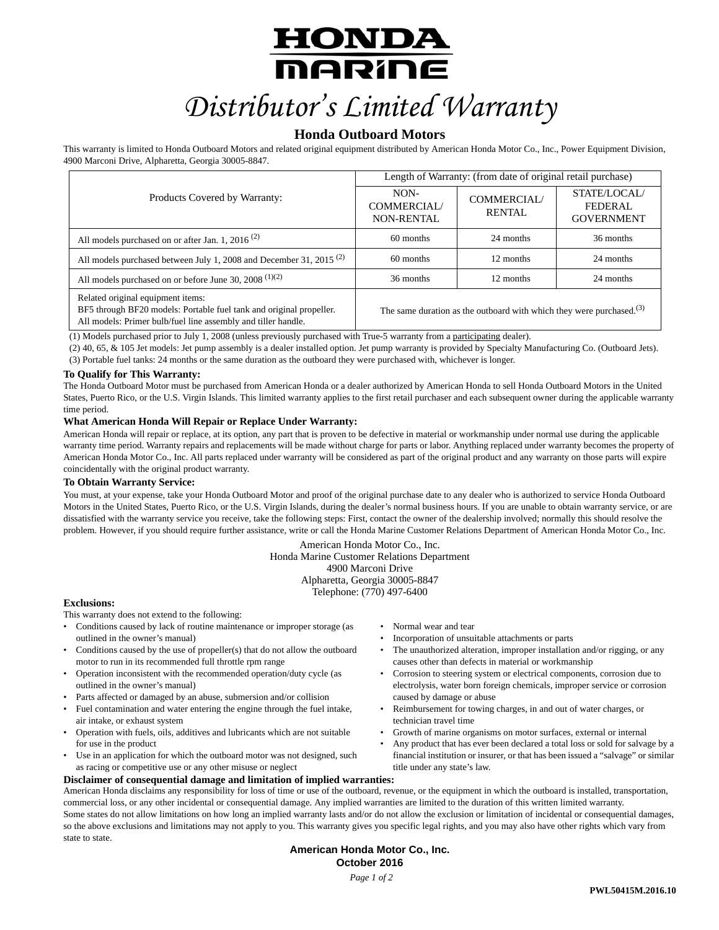# <u>HONDA</u> **MARINE** *Distributor's Limited Warranty*

# **Honda Outboard Motors**

This warranty is limited to Honda Outboard Motors and related original equipment distributed by American Honda Motor Co., Inc., Power Equipment Division, 4900 Marconi Drive, Alpharetta, Georgia 30005-8847.

|                                                                                                                                                                           | Length of Warranty: (from date of original retail purchase) |                                                                         |                                                     |
|---------------------------------------------------------------------------------------------------------------------------------------------------------------------------|-------------------------------------------------------------|-------------------------------------------------------------------------|-----------------------------------------------------|
| Products Covered by Warranty:                                                                                                                                             | NON-<br><b>COMMERCIAL/</b><br><b>NON-RENTAL</b>             | COMMERCIAL/<br><b>RENTAL</b>                                            | STATE/LOCAL/<br><b>FEDERAL</b><br><b>GOVERNMENT</b> |
| All models purchased on or after Jan. 1, 2016 <sup>(2)</sup>                                                                                                              | 60 months                                                   | 24 months                                                               | 36 months                                           |
| All models purchased between July 1, 2008 and December 31, 2015 <sup>(2)</sup>                                                                                            | 60 months                                                   | 12 months                                                               | 24 months                                           |
| All models purchased on or before June 30, 2008 $(1)(2)$                                                                                                                  | 36 months                                                   | 12 months                                                               | 24 months                                           |
| Related original equipment items:<br>BF5 through BF20 models: Portable fuel tank and original propeller.<br>All models: Primer bulb/fuel line assembly and tiller handle. |                                                             | The same duration as the outboard with which they were purchased. $(3)$ |                                                     |

(1) Models purchased prior to July 1, 2008 (unless previously purchased with True-5 warranty from a participating dealer).

(2) 40, 65, & 105 Jet models: Jet pump assembly is a dealer installed option. Jet pump warranty is provided by Specialty Manufacturing Co. (Outboard Jets). (3) Portable fuel tanks: 24 months or the same duration as the outboard they were purchased with, whichever is longer.

# **To Qualify for This Warranty:**

The Honda Outboard Motor must be purchased from American Honda or a dealer authorized by American Honda to sell Honda Outboard Motors in the United States, Puerto Rico, or the U.S. Virgin Islands. This limited warranty applies to the first retail purchaser and each subsequent owner during the applicable warranty time period.

# **What American Honda Will Repair or Replace Under Warranty:**

American Honda will repair or replace, at its option, any part that is proven to be defective in material or workmanship under normal use during the applicable warranty time period. Warranty repairs and replacements will be made without charge for parts or labor. Anything replaced under warranty becomes the property of American Honda Motor Co., Inc. All parts replaced under warranty will be considered as part of the original product and any warranty on those parts will expire coincidentally with the original product warranty.

### **To Obtain Warranty Service:**

You must, at your expense, take your Honda Outboard Motor and proof of the original purchase date to any dealer who is authorized to service Honda Outboard Motors in the United States, Puerto Rico, or the U.S. Virgin Islands, during the dealer's normal business hours. If you are unable to obtain warranty service, or are dissatisfied with the warranty service you receive, take the following steps: First, contact the owner of the dealership involved; normally this should resolve the problem. However, if you should require further assistance, write or call the Honda Marine Customer Relations Department of American Honda Motor Co., Inc.

> American Honda Motor Co., Inc. Honda Marine Customer Relations Department 4900 Marconi Drive Alpharetta, Georgia 30005-8847

Telephone: (770) 497-6400

### **Exclusions:**

This warranty does not extend to the following:

- Conditions caused by lack of routine maintenance or improper storage (as outlined in the owner's manual)
- Conditions caused by the use of propeller(s) that do not allow the outboard motor to run in its recommended full throttle rpm range
- Operation inconsistent with the recommended operation/duty cycle (as outlined in the owner's manual)
- Parts affected or damaged by an abuse, submersion and/or collision
- Fuel contamination and water entering the engine through the fuel intake, air intake, or exhaust system
- Operation with fuels, oils, additives and lubricants which are not suitable for use in the product
- Use in an application for which the outboard motor was not designed, such as racing or competitive use or any other misuse or neglect

# **Disclaimer of consequential damage and limitation of implied warranties:**

• Normal wear and tear

- Incorporation of unsuitable attachments or parts
- The unauthorized alteration, improper installation and/or rigging, or any causes other than defects in material or workmanship
- Corrosion to steering system or electrical components, corrosion due to electrolysis, water born foreign chemicals, improper service or corrosion caused by damage or abuse
- Reimbursement for towing charges, in and out of water charges, or technician travel time
- Growth of marine organisms on motor surfaces, external or internal
- Any product that has ever been declared a total loss or sold for salvage by a financial institution or insurer, or that has been issued a "salvage" or similar title under any state's law.

American Honda disclaims any responsibility for loss of time or use of the outboard, revenue, or the equipment in which the outboard is installed, transportation, commercial loss, or any other incidental or consequential damage. Any implied warranties are limited to the duration of this written limited warranty. Some states do not allow limitations on how long an implied warranty lasts and/or do not allow the exclusion or limitation of incidental or consequential damages, so the above exclusions and limitations may not apply to you. This warranty gives you specific legal rights, and you may also have other rights which vary from state to state.

# **American Honda Motor Co., Inc. October 2016**

*Page 1 of 2*